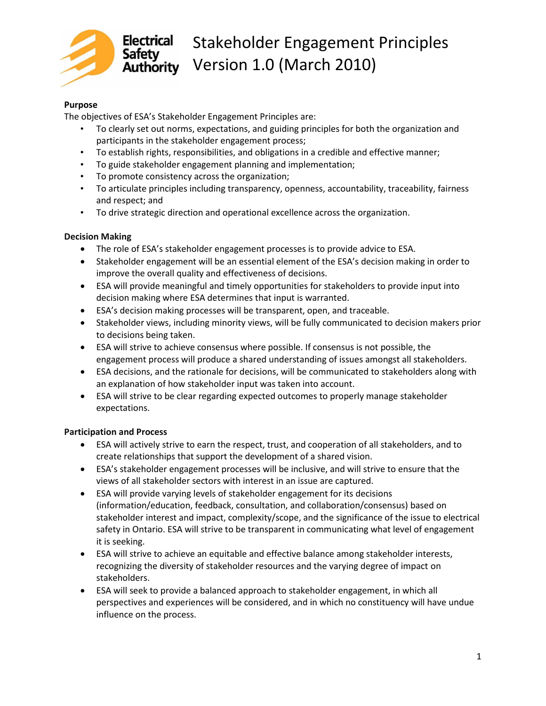

# Electrical Stakeholder Engagement Principles Safety<br>Authority Version 1.0 (March 2010)

#### **Purpose**

The objectives of ESA's Stakeholder Engagement Principles are:

- To clearly set out norms, expectations, and guiding principles for both the organization and participants in the stakeholder engagement process;
- To establish rights, responsibilities, and obligations in a credible and effective manner;
- To guide stakeholder engagement planning and implementation;
- To promote consistency across the organization;
- To articulate principles including transparency, openness, accountability, traceability, fairness and respect; and
- To drive strategic direction and operational excellence across the organization.

### **Decision Making**

- The role of ESA's stakeholder engagement processes is to provide advice to ESA.
- Stakeholder engagement will be an essential element of the ESA's decision making in order to improve the overall quality and effectiveness of decisions.
- ESA will provide meaningful and timely opportunities for stakeholders to provide input into decision making where ESA determines that input is warranted.
- ESA's decision making processes will be transparent, open, and traceable.
- Stakeholder views, including minority views, will be fully communicated to decision makers prior to decisions being taken.
- ESA will strive to achieve consensus where possible. If consensus is not possible, the engagement process will produce a shared understanding of issues amongst all stakeholders.
- ESA decisions, and the rationale for decisions, will be communicated to stakeholders along with an explanation of how stakeholder input was taken into account.
- ESA will strive to be clear regarding expected outcomes to properly manage stakeholder expectations.

#### **Participation and Process**

- ESA will actively strive to earn the respect, trust, and cooperation of all stakeholders, and to create relationships that support the development of a shared vision.
- ESA's stakeholder engagement processes will be inclusive, and will strive to ensure that the views of all stakeholder sectors with interest in an issue are captured.
- ESA will provide varying levels of stakeholder engagement for its decisions (information/education, feedback, consultation, and collaboration/consensus) based on stakeholder interest and impact, complexity/scope, and the significance of the issue to electrical safety in Ontario. ESA will strive to be transparent in communicating what level of engagement it is seeking.
- ESA will strive to achieve an equitable and effective balance among stakeholder interests, recognizing the diversity of stakeholder resources and the varying degree of impact on stakeholders.
- ESA will seek to provide a balanced approach to stakeholder engagement, in which all perspectives and experiences will be considered, and in which no constituency will have undue influence on the process.